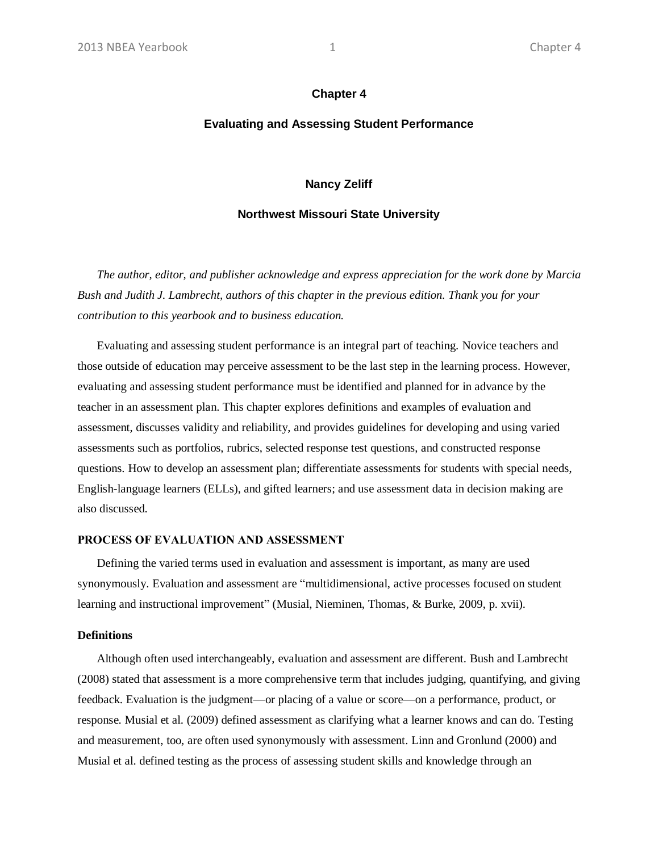## **Chapter 4**

# **Evaluating and Assessing Student Performance**

**Nancy Zeliff**

## **Northwest Missouri State University**

*The author, editor, and publisher acknowledge and express appreciation for the work done by Marcia Bush and Judith J. Lambrecht, authors of this chapter in the previous edition. Thank you for your contribution to this yearbook and to business education.*

Evaluating and assessing student performance is an integral part of teaching. Novice teachers and those outside of education may perceive assessment to be the last step in the learning process. However, evaluating and assessing student performance must be identified and planned for in advance by the teacher in an assessment plan. This chapter explores definitions and examples of evaluation and assessment, discusses validity and reliability, and provides guidelines for developing and using varied assessments such as portfolios, rubrics, selected response test questions, and constructed response questions. How to develop an assessment plan; differentiate assessments for students with special needs, English-language learners (ELLs), and gifted learners; and use assessment data in decision making are also discussed.

#### **PROCESS OF EVALUATION AND ASSESSMENT**

Defining the varied terms used in evaluation and assessment is important, as many are used synonymously. Evaluation and assessment are "multidimensional, active processes focused on student learning and instructional improvement" (Musial, Nieminen, Thomas, & Burke, 2009, p. xvii).

## **Definitions**

Although often used interchangeably, evaluation and assessment are different. Bush and Lambrecht (2008) stated that assessment is a more comprehensive term that includes judging, quantifying, and giving feedback. Evaluation is the judgment—or placing of a value or score—on a performance, product, or response. Musial et al. (2009) defined assessment as clarifying what a learner knows and can do. Testing and measurement, too, are often used synonymously with assessment. Linn and Gronlund (2000) and Musial et al. defined testing as the process of assessing student skills and knowledge through an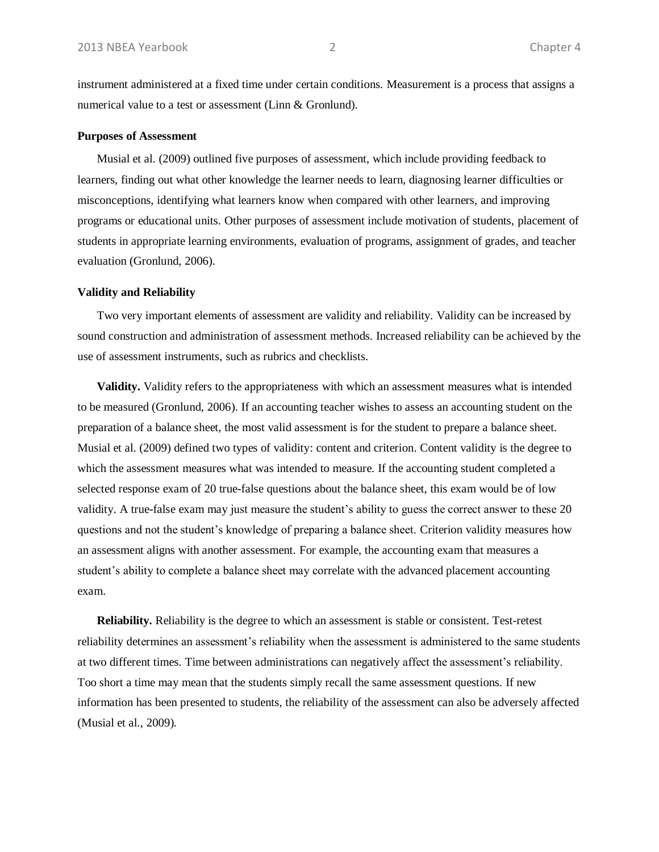instrument administered at a fixed time under certain conditions. Measurement is a process that assigns a numerical value to a test or assessment (Linn & Gronlund).

## **Purposes of Assessment**

Musial et al. (2009) outlined five purposes of assessment, which include providing feedback to learners, finding out what other knowledge the learner needs to learn, diagnosing learner difficulties or misconceptions, identifying what learners know when compared with other learners, and improving programs or educational units. Other purposes of assessment include motivation of students, placement of students in appropriate learning environments, evaluation of programs, assignment of grades, and teacher evaluation (Gronlund, 2006).

## **Validity and Reliability**

Two very important elements of assessment are validity and reliability. Validity can be increased by sound construction and administration of assessment methods. Increased reliability can be achieved by the use of assessment instruments, such as rubrics and checklists.

**Validity.** Validity refers to the appropriateness with which an assessment measures what is intended to be measured (Gronlund, 2006). If an accounting teacher wishes to assess an accounting student on the preparation of a balance sheet, the most valid assessment is for the student to prepare a balance sheet. Musial et al. (2009) defined two types of validity: content and criterion. Content validity is the degree to which the assessment measures what was intended to measure. If the accounting student completed a selected response exam of 20 true-false questions about the balance sheet, this exam would be of low validity. A true-false exam may just measure the student's ability to guess the correct answer to these 20 questions and not the student's knowledge of preparing a balance sheet. Criterion validity measures how an assessment aligns with another assessment. For example, the accounting exam that measures a student's ability to complete a balance sheet may correlate with the advanced placement accounting exam.

**Reliability.** Reliability is the degree to which an assessment is stable or consistent. Test-retest reliability determines an assessment's reliability when the assessment is administered to the same students at two different times. Time between administrations can negatively affect the assessment's reliability. Too short a time may mean that the students simply recall the same assessment questions. If new information has been presented to students, the reliability of the assessment can also be adversely affected (Musial et al., 2009).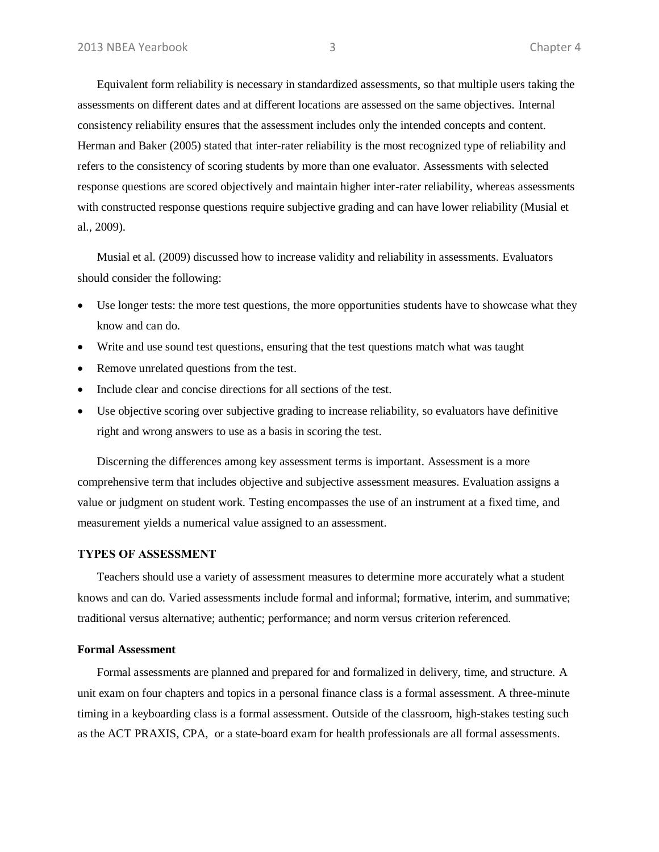Equivalent form reliability is necessary in standardized assessments, so that multiple users taking the assessments on different dates and at different locations are assessed on the same objectives. Internal consistency reliability ensures that the assessment includes only the intended concepts and content. Herman and Baker (2005) stated that inter-rater reliability is the most recognized type of reliability and refers to the consistency of scoring students by more than one evaluator. Assessments with selected response questions are scored objectively and maintain higher inter-rater reliability, whereas assessments with constructed response questions require subjective grading and can have lower reliability (Musial et al., 2009).

Musial et al. (2009) discussed how to increase validity and reliability in assessments. Evaluators should consider the following:

- Use longer tests: the more test questions, the more opportunities students have to showcase what they know and can do.
- Write and use sound test questions, ensuring that the test questions match what was taught
- Remove unrelated questions from the test.
- Include clear and concise directions for all sections of the test.
- Use objective scoring over subjective grading to increase reliability, so evaluators have definitive right and wrong answers to use as a basis in scoring the test.

Discerning the differences among key assessment terms is important. Assessment is a more comprehensive term that includes objective and subjective assessment measures. Evaluation assigns a value or judgment on student work. Testing encompasses the use of an instrument at a fixed time, and measurement yields a numerical value assigned to an assessment.

## **TYPES OF ASSESSMENT**

Teachers should use a variety of assessment measures to determine more accurately what a student knows and can do. Varied assessments include formal and informal; formative, interim, and summative; traditional versus alternative; authentic; performance; and norm versus criterion referenced.

#### **Formal Assessment**

Formal assessments are planned and prepared for and formalized in delivery, time, and structure. A unit exam on four chapters and topics in a personal finance class is a formal assessment. A three-minute timing in a keyboarding class is a formal assessment. Outside of the classroom, high-stakes testing such as the ACT PRAXIS, CPA, or a state-board exam for health professionals are all formal assessments.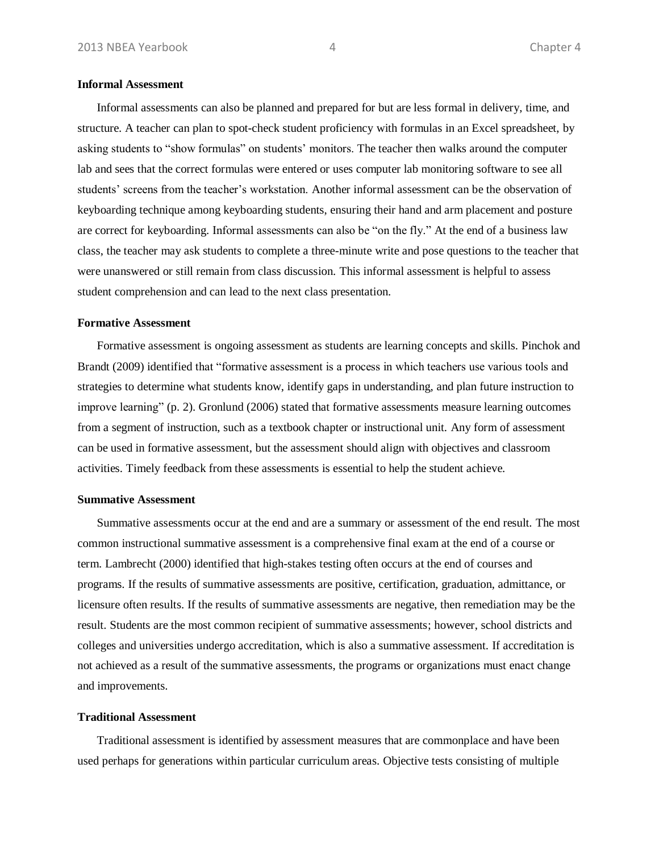# **Informal Assessment**

Informal assessments can also be planned and prepared for but are less formal in delivery, time, and structure. A teacher can plan to spot-check student proficiency with formulas in an Excel spreadsheet, by asking students to "show formulas" on students' monitors. The teacher then walks around the computer lab and sees that the correct formulas were entered or uses computer lab monitoring software to see all students' screens from the teacher's workstation. Another informal assessment can be the observation of keyboarding technique among keyboarding students, ensuring their hand and arm placement and posture are correct for keyboarding. Informal assessments can also be "on the fly." At the end of a business law class, the teacher may ask students to complete a three-minute write and pose questions to the teacher that were unanswered or still remain from class discussion. This informal assessment is helpful to assess student comprehension and can lead to the next class presentation.

#### **Formative Assessment**

Formative assessment is ongoing assessment as students are learning concepts and skills. Pinchok and Brandt (2009) identified that "formative assessment is a process in which teachers use various tools and strategies to determine what students know, identify gaps in understanding, and plan future instruction to improve learning" (p. 2). Gronlund (2006) stated that formative assessments measure learning outcomes from a segment of instruction, such as a textbook chapter or instructional unit. Any form of assessment can be used in formative assessment, but the assessment should align with objectives and classroom activities. Timely feedback from these assessments is essential to help the student achieve.

## **Summative Assessment**

Summative assessments occur at the end and are a summary or assessment of the end result. The most common instructional summative assessment is a comprehensive final exam at the end of a course or term. Lambrecht (2000) identified that high-stakes testing often occurs at the end of courses and programs. If the results of summative assessments are positive, certification, graduation, admittance, or licensure often results. If the results of summative assessments are negative, then remediation may be the result. Students are the most common recipient of summative assessments; however, school districts and colleges and universities undergo accreditation, which is also a summative assessment. If accreditation is not achieved as a result of the summative assessments, the programs or organizations must enact change and improvements.

#### **Traditional Assessment**

Traditional assessment is identified by assessment measures that are commonplace and have been used perhaps for generations within particular curriculum areas. Objective tests consisting of multiple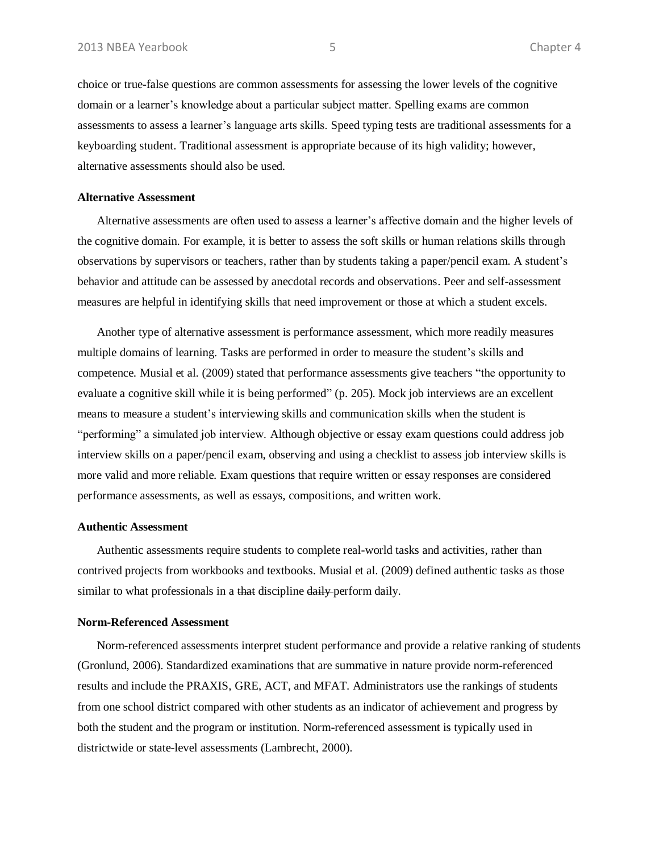choice or true-false questions are common assessments for assessing the lower levels of the cognitive domain or a learner's knowledge about a particular subject matter. Spelling exams are common assessments to assess a learner's language arts skills. Speed typing tests are traditional assessments for a keyboarding student. Traditional assessment is appropriate because of its high validity; however, alternative assessments should also be used.

## **Alternative Assessment**

Alternative assessments are often used to assess a learner's affective domain and the higher levels of the cognitive domain. For example, it is better to assess the soft skills or human relations skills through observations by supervisors or teachers, rather than by students taking a paper/pencil exam. A student's behavior and attitude can be assessed by anecdotal records and observations. Peer and self-assessment measures are helpful in identifying skills that need improvement or those at which a student excels.

Another type of alternative assessment is performance assessment, which more readily measures multiple domains of learning. Tasks are performed in order to measure the student's skills and competence. Musial et al. (2009) stated that performance assessments give teachers "the opportunity to evaluate a cognitive skill while it is being performed" (p. 205). Mock job interviews are an excellent means to measure a student's interviewing skills and communication skills when the student is "performing" a simulated job interview. Although objective or essay exam questions could address job interview skills on a paper/pencil exam, observing and using a checklist to assess job interview skills is more valid and more reliable. Exam questions that require written or essay responses are considered performance assessments, as well as essays, compositions, and written work.

## **Authentic Assessment**

Authentic assessments require students to complete real-world tasks and activities, rather than contrived projects from workbooks and textbooks. Musial et al. (2009) defined authentic tasks as those similar to what professionals in a that discipline daily-perform daily.

# **Norm-Referenced Assessment**

Norm-referenced assessments interpret student performance and provide a relative ranking of students (Gronlund, 2006). Standardized examinations that are summative in nature provide norm-referenced results and include the PRAXIS, GRE, ACT, and MFAT. Administrators use the rankings of students from one school district compared with other students as an indicator of achievement and progress by both the student and the program or institution. Norm-referenced assessment is typically used in districtwide or state-level assessments (Lambrecht, 2000).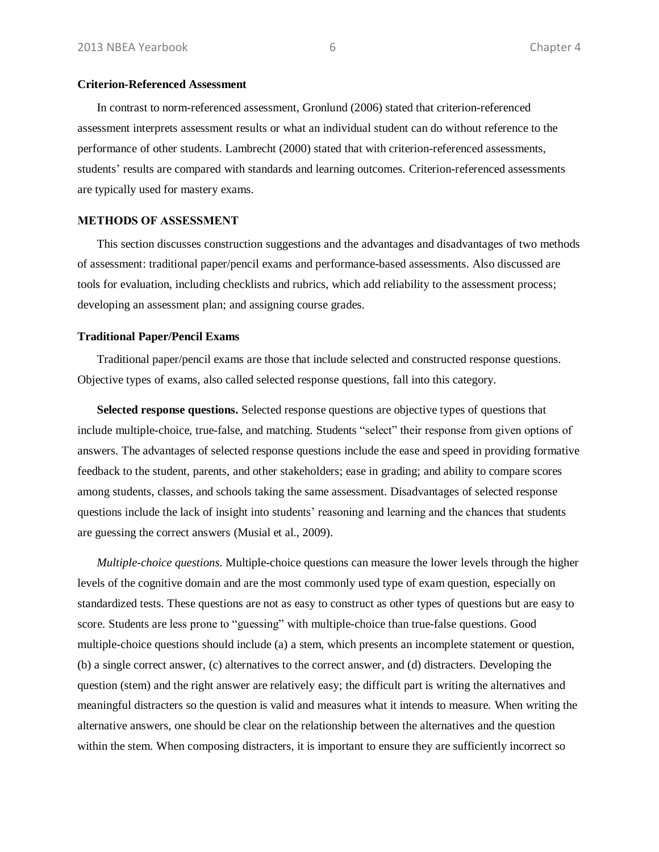## **Criterion-Referenced Assessment**

In contrast to norm-referenced assessment, Gronlund (2006) stated that criterion-referenced assessment interprets assessment results or what an individual student can do without reference to the performance of other students. Lambrecht (2000) stated that with criterion-referenced assessments, students' results are compared with standards and learning outcomes. Criterion-referenced assessments are typically used for mastery exams.

# **METHODS OF ASSESSMENT**

This section discusses construction suggestions and the advantages and disadvantages of two methods of assessment: traditional paper/pencil exams and performance-based assessments. Also discussed are tools for evaluation, including checklists and rubrics, which add reliability to the assessment process; developing an assessment plan; and assigning course grades.

## **Traditional Paper/Pencil Exams**

Traditional paper/pencil exams are those that include selected and constructed response questions. Objective types of exams, also called selected response questions, fall into this category.

**Selected response questions.** Selected response questions are objective types of questions that include multiple-choice, true-false, and matching. Students "select" their response from given options of answers. The advantages of selected response questions include the ease and speed in providing formative feedback to the student, parents, and other stakeholders; ease in grading; and ability to compare scores among students, classes, and schools taking the same assessment. Disadvantages of selected response questions include the lack of insight into students' reasoning and learning and the chances that students are guessing the correct answers (Musial et al., 2009).

*Multiple-choice questions*. Multiple-choice questions can measure the lower levels through the higher levels of the cognitive domain and are the most commonly used type of exam question, especially on standardized tests. These questions are not as easy to construct as other types of questions but are easy to score. Students are less prone to "guessing" with multiple-choice than true-false questions. Good multiple-choice questions should include (a) a stem, which presents an incomplete statement or question, (b) a single correct answer, (c) alternatives to the correct answer, and (d) distracters. Developing the question (stem) and the right answer are relatively easy; the difficult part is writing the alternatives and meaningful distracters so the question is valid and measures what it intends to measure. When writing the alternative answers, one should be clear on the relationship between the alternatives and the question within the stem. When composing distracters, it is important to ensure they are sufficiently incorrect so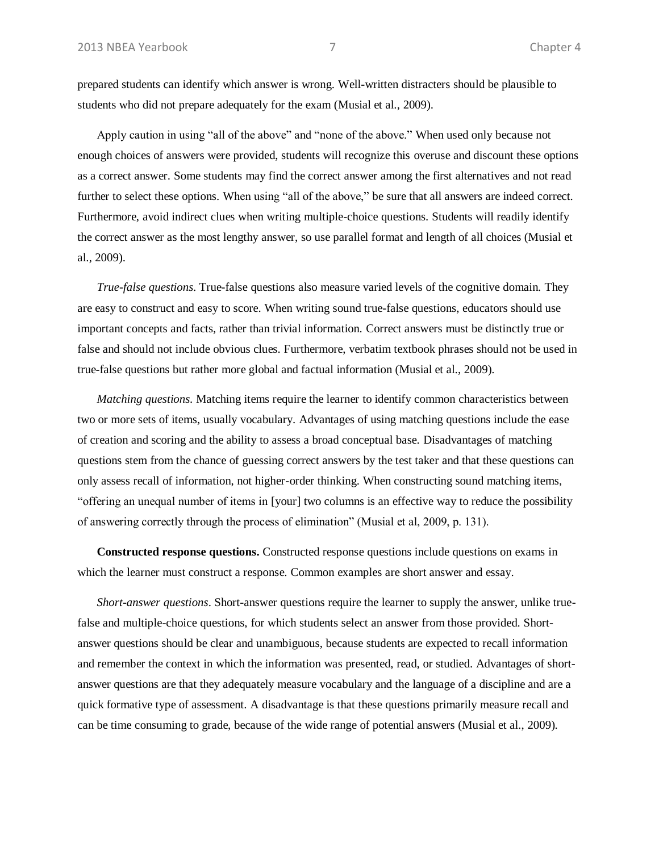prepared students can identify which answer is wrong. Well-written distracters should be plausible to students who did not prepare adequately for the exam (Musial et al., 2009).

Apply caution in using "all of the above" and "none of the above." When used only because not enough choices of answers were provided, students will recognize this overuse and discount these options as a correct answer. Some students may find the correct answer among the first alternatives and not read further to select these options. When using "all of the above," be sure that all answers are indeed correct. Furthermore, avoid indirect clues when writing multiple-choice questions. Students will readily identify the correct answer as the most lengthy answer, so use parallel format and length of all choices (Musial et al., 2009).

*True-false questions*. True-false questions also measure varied levels of the cognitive domain. They are easy to construct and easy to score. When writing sound true-false questions, educators should use important concepts and facts, rather than trivial information. Correct answers must be distinctly true or false and should not include obvious clues. Furthermore, verbatim textbook phrases should not be used in true-false questions but rather more global and factual information (Musial et al., 2009).

*Matching questions.* Matching items require the learner to identify common characteristics between two or more sets of items, usually vocabulary. Advantages of using matching questions include the ease of creation and scoring and the ability to assess a broad conceptual base. Disadvantages of matching questions stem from the chance of guessing correct answers by the test taker and that these questions can only assess recall of information, not higher-order thinking. When constructing sound matching items, "offering an unequal number of items in [your] two columns is an effective way to reduce the possibility of answering correctly through the process of elimination" (Musial et al, 2009, p. 131).

**Constructed response questions.** Constructed response questions include questions on exams in which the learner must construct a response. Common examples are short answer and essay.

*Short-answer questions*. Short-answer questions require the learner to supply the answer, unlike truefalse and multiple-choice questions, for which students select an answer from those provided. Shortanswer questions should be clear and unambiguous, because students are expected to recall information and remember the context in which the information was presented, read, or studied. Advantages of shortanswer questions are that they adequately measure vocabulary and the language of a discipline and are a quick formative type of assessment. A disadvantage is that these questions primarily measure recall and can be time consuming to grade, because of the wide range of potential answers (Musial et al., 2009).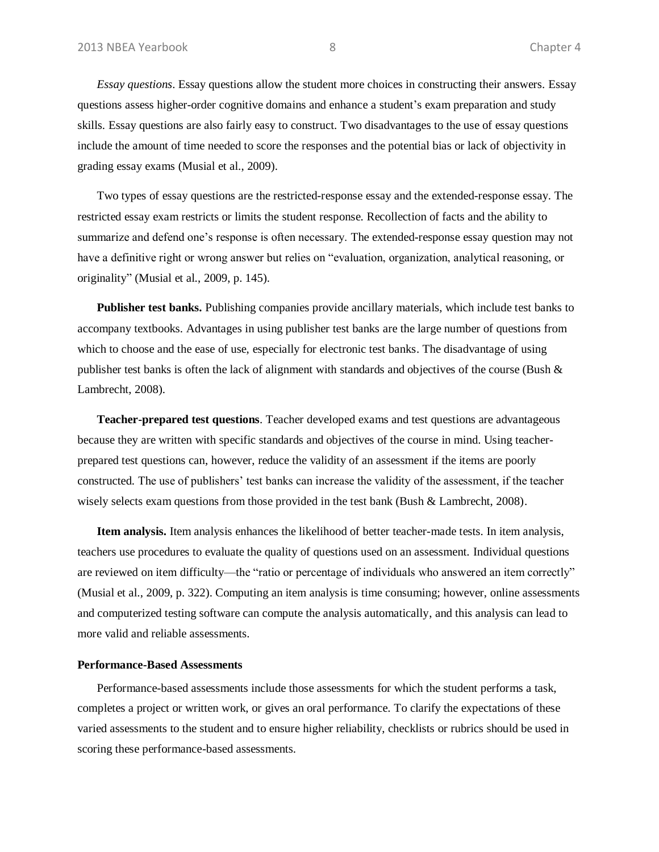*Essay questions*. Essay questions allow the student more choices in constructing their answers. Essay questions assess higher-order cognitive domains and enhance a student's exam preparation and study skills. Essay questions are also fairly easy to construct. Two disadvantages to the use of essay questions include the amount of time needed to score the responses and the potential bias or lack of objectivity in grading essay exams (Musial et al., 2009).

Two types of essay questions are the restricted-response essay and the extended-response essay. The restricted essay exam restricts or limits the student response. Recollection of facts and the ability to summarize and defend one's response is often necessary. The extended-response essay question may not have a definitive right or wrong answer but relies on "evaluation, organization, analytical reasoning, or originality" (Musial et al., 2009, p. 145).

**Publisher test banks.** Publishing companies provide ancillary materials, which include test banks to accompany textbooks. Advantages in using publisher test banks are the large number of questions from which to choose and the ease of use, especially for electronic test banks. The disadvantage of using publisher test banks is often the lack of alignment with standards and objectives of the course (Bush & Lambrecht, 2008).

**Teacher-prepared test questions**. Teacher developed exams and test questions are advantageous because they are written with specific standards and objectives of the course in mind. Using teacherprepared test questions can, however, reduce the validity of an assessment if the items are poorly constructed. The use of publishers' test banks can increase the validity of the assessment, if the teacher wisely selects exam questions from those provided in the test bank (Bush & Lambrecht, 2008).

**Item analysis.** Item analysis enhances the likelihood of better teacher-made tests. In item analysis, teachers use procedures to evaluate the quality of questions used on an assessment. Individual questions are reviewed on item difficulty—the "ratio or percentage of individuals who answered an item correctly" (Musial et al., 2009, p. 322). Computing an item analysis is time consuming; however, online assessments and computerized testing software can compute the analysis automatically, and this analysis can lead to more valid and reliable assessments.

## **Performance-Based Assessments**

Performance-based assessments include those assessments for which the student performs a task, completes a project or written work, or gives an oral performance. To clarify the expectations of these varied assessments to the student and to ensure higher reliability, checklists or rubrics should be used in scoring these performance-based assessments.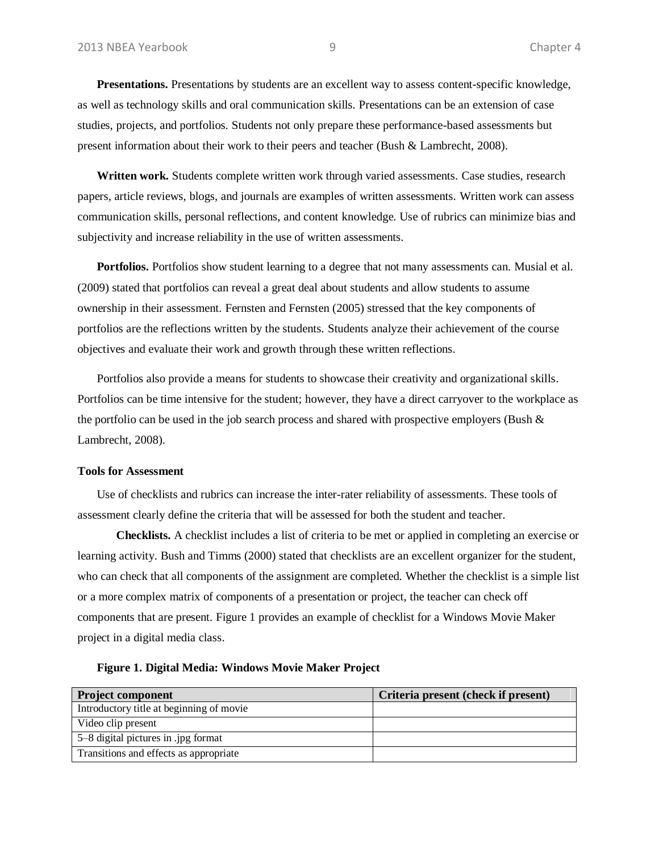**Presentations.** Presentations by students are an excellent way to assess content-specific knowledge, as well as technology skills and oral communication skills. Presentations can be an extension of case studies, projects, and portfolios. Students not only prepare these performance-based assessments but present information about their work to their peers and teacher (Bush & Lambrecht, 2008).

**Written work.** Students complete written work through varied assessments. Case studies, research papers, article reviews, blogs, and journals are examples of written assessments. Written work can assess communication skills, personal reflections, and content knowledge. Use of rubrics can minimize bias and subjectivity and increase reliability in the use of written assessments.

**Portfolios.** Portfolios show student learning to a degree that not many assessments can. Musial et al. (2009) stated that portfolios can reveal a great deal about students and allow students to assume ownership in their assessment. Fernsten and Fernsten (2005) stressed that the key components of portfolios are the reflections written by the students. Students analyze their achievement of the course objectives and evaluate their work and growth through these written reflections.

Portfolios also provide a means for students to showcase their creativity and organizational skills. Portfolios can be time intensive for the student; however, they have a direct carryover to the workplace as the portfolio can be used in the job search process and shared with prospective employers (Bush & Lambrecht, 2008).

#### **Tools for Assessment**

Use of checklists and rubrics can increase the inter-rater reliability of assessments. These tools of assessment clearly define the criteria that will be assessed for both the student and teacher.

**Checklists.** A checklist includes a list of criteria to be met or applied in completing an exercise or learning activity. Bush and Timms (2000) stated that checklists are an excellent organizer for the student, who can check that all components of the assignment are completed. Whether the checklist is a simple list or a more complex matrix of components of a presentation or project, the teacher can check off components that are present. Figure 1 provides an example of checklist for a Windows Movie Maker project in a digital media class.

| <b>Project component</b>                 | Criteria present (check if present) |
|------------------------------------------|-------------------------------------|
| Introductory title at beginning of movie |                                     |
| Video clip present                       |                                     |
| 5–8 digital pictures in .jpg format      |                                     |
| Transitions and effects as appropriate   |                                     |

#### **Figure 1. Digital Media: Windows Movie Maker Project**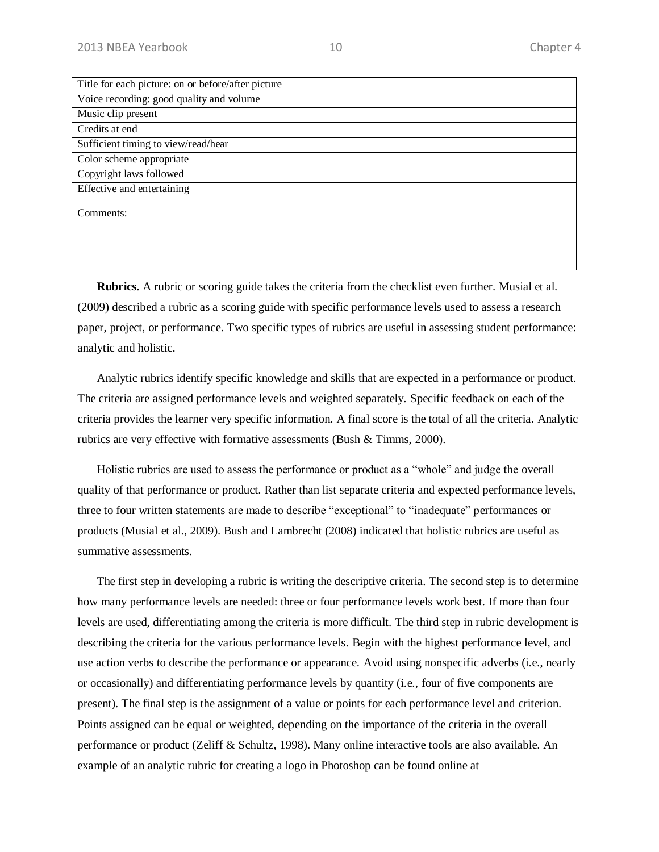| Title for each picture: on or before/after picture |  |
|----------------------------------------------------|--|
| Voice recording: good quality and volume           |  |
| Music clip present                                 |  |
| Credits at end                                     |  |
| Sufficient timing to view/read/hear                |  |
| Color scheme appropriate                           |  |
| Copyright laws followed                            |  |
| Effective and entertaining                         |  |
|                                                    |  |

Comments:

**Rubrics.** A rubric or scoring guide takes the criteria from the checklist even further. Musial et al. (2009) described a rubric as a scoring guide with specific performance levels used to assess a research paper, project, or performance. Two specific types of rubrics are useful in assessing student performance: analytic and holistic.

Analytic rubrics identify specific knowledge and skills that are expected in a performance or product. The criteria are assigned performance levels and weighted separately. Specific feedback on each of the criteria provides the learner very specific information. A final score is the total of all the criteria. Analytic rubrics are very effective with formative assessments (Bush & Timms, 2000).

Holistic rubrics are used to assess the performance or product as a "whole" and judge the overall quality of that performance or product. Rather than list separate criteria and expected performance levels, three to four written statements are made to describe "exceptional" to "inadequate" performances or products (Musial et al., 2009). Bush and Lambrecht (2008) indicated that holistic rubrics are useful as summative assessments.

The first step in developing a rubric is writing the descriptive criteria. The second step is to determine how many performance levels are needed: three or four performance levels work best. If more than four levels are used, differentiating among the criteria is more difficult. The third step in rubric development is describing the criteria for the various performance levels. Begin with the highest performance level, and use action verbs to describe the performance or appearance. Avoid using nonspecific adverbs (i.e., nearly or occasionally) and differentiating performance levels by quantity (i.e., four of five components are present). The final step is the assignment of a value or points for each performance level and criterion. Points assigned can be equal or weighted, depending on the importance of the criteria in the overall performance or product (Zeliff & Schultz, 1998). Many online interactive tools are also available. An example of an analytic rubric for creating a logo in Photoshop can be found online at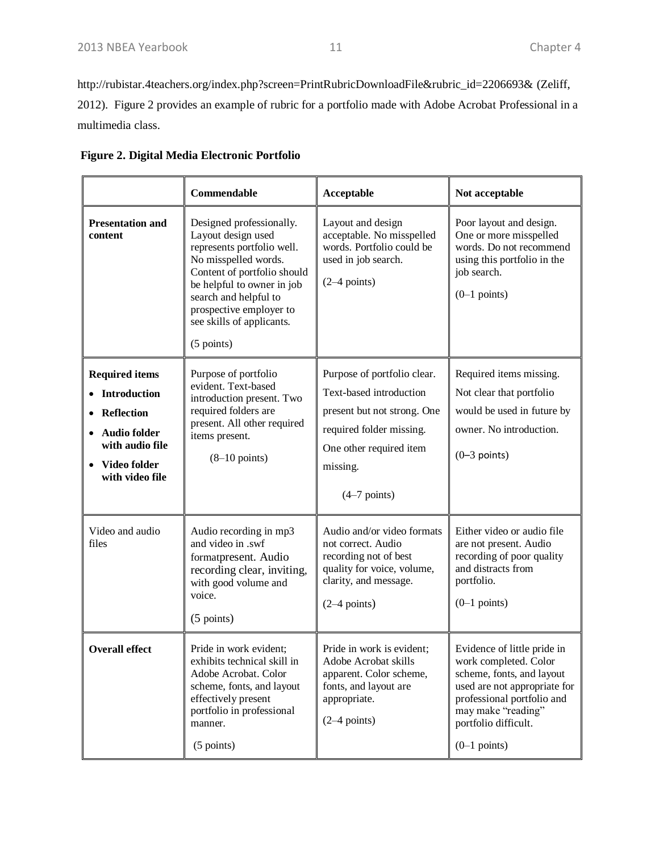http://rubistar.4teachers.org/index.php?screen=PrintRubricDownloadFile&rubric\_id=2206693& (Zeliff, 2012). Figure 2 provides an example of rubric for a portfolio made with Adobe Acrobat Professional in a multimedia class.

|                                                                                                                                                | Commendable                                                                                                                                                                                                                                                      | Acceptable                                                                                                                                                                 | Not acceptable                                                                                                                                                                                                  |
|------------------------------------------------------------------------------------------------------------------------------------------------|------------------------------------------------------------------------------------------------------------------------------------------------------------------------------------------------------------------------------------------------------------------|----------------------------------------------------------------------------------------------------------------------------------------------------------------------------|-----------------------------------------------------------------------------------------------------------------------------------------------------------------------------------------------------------------|
| <b>Presentation and</b><br>content                                                                                                             | Designed professionally.<br>Layout design used<br>represents portfolio well.<br>No misspelled words.<br>Content of portfolio should<br>be helpful to owner in job<br>search and helpful to<br>prospective employer to<br>see skills of applicants.<br>(5 points) | Layout and design<br>acceptable. No misspelled<br>words. Portfolio could be<br>used in job search.<br>$(2-4$ points)                                                       | Poor layout and design.<br>One or more misspelled<br>words. Do not recommend<br>using this portfolio in the<br>job search.<br>$(0-1$ points)                                                                    |
| <b>Required items</b><br><b>Introduction</b><br><b>Reflection</b><br><b>Audio folder</b><br>with audio file<br>Video folder<br>with video file | Purpose of portfolio<br>evident. Text-based<br>introduction present. Two<br>required folders are<br>present. All other required<br>items present.<br>$(8-10 \text{ points})$                                                                                     | Purpose of portfolio clear.<br>Text-based introduction<br>present but not strong. One<br>required folder missing.<br>One other required item<br>missing.<br>$(4-7$ points) | Required items missing.<br>Not clear that portfolio<br>would be used in future by<br>owner. No introduction.<br>$(0-3$ points)                                                                                  |
| Video and audio<br>files                                                                                                                       | Audio recording in mp3<br>and video in .swf<br>formatpresent. Audio<br>recording clear, inviting,<br>with good volume and<br>voice.<br>$(5$ points)                                                                                                              | Audio and/or video formats<br>not correct. Audio<br>recording not of best<br>quality for voice, volume,<br>clarity, and message.<br>$(2-4$ points)                         | Either video or audio file<br>are not present. Audio<br>recording of poor quality<br>and distracts from<br>portfolio.<br>$(0-1$ points)                                                                         |
| <b>Overall effect</b>                                                                                                                          | Pride in work evident;<br>exhibits technical skill in<br>Adobe Acrobat. Color<br>scheme, fonts, and layout<br>effectively present<br>portfolio in professional<br>manner.<br>$(5$ points)                                                                        | Pride in work is evident;<br>Adobe Acrobat skills<br>apparent. Color scheme,<br>fonts, and layout are<br>appropriate.<br>$(2-4$ points)                                    | Evidence of little pride in<br>work completed. Color<br>scheme, fonts, and layout<br>used are not appropriate for<br>professional portfolio and<br>may make "reading"<br>portfolio difficult.<br>$(0-1$ points) |

**Figure 2. Digital Media Electronic Portfolio**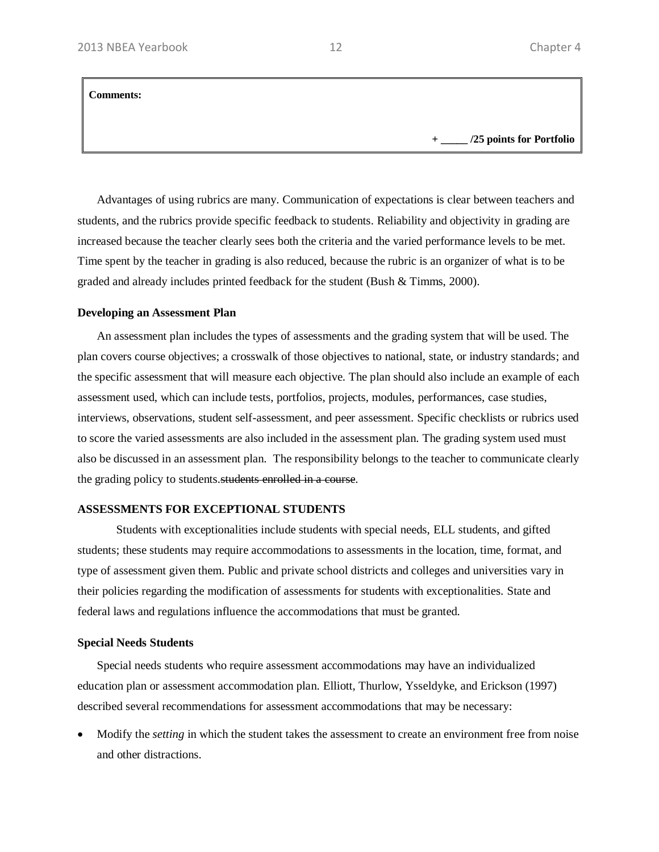## **Comments:**

**+ \_\_\_\_\_ /25 points for Portfolio**

Advantages of using rubrics are many. Communication of expectations is clear between teachers and students, and the rubrics provide specific feedback to students. Reliability and objectivity in grading are increased because the teacher clearly sees both the criteria and the varied performance levels to be met. Time spent by the teacher in grading is also reduced, because the rubric is an organizer of what is to be graded and already includes printed feedback for the student (Bush & Timms, 2000).

## **Developing an Assessment Plan**

An assessment plan includes the types of assessments and the grading system that will be used. The plan covers course objectives; a crosswalk of those objectives to national, state, or industry standards; and the specific assessment that will measure each objective. The plan should also include an example of each assessment used, which can include tests, portfolios, projects, modules, performances, case studies, interviews, observations, student self-assessment, and peer assessment. Specific checklists or rubrics used to score the varied assessments are also included in the assessment plan. The grading system used must also be discussed in an assessment plan. The responsibility belongs to the teacher to communicate clearly the grading policy to students.students enrolled in a course.

# **ASSESSMENTS FOR EXCEPTIONAL STUDENTS**

Students with exceptionalities include students with special needs, ELL students, and gifted students; these students may require accommodations to assessments in the location, time, format, and type of assessment given them. Public and private school districts and colleges and universities vary in their policies regarding the modification of assessments for students with exceptionalities. State and federal laws and regulations influence the accommodations that must be granted.

## **Special Needs Students**

Special needs students who require assessment accommodations may have an individualized education plan or assessment accommodation plan. Elliott, Thurlow, Ysseldyke, and Erickson (1997) described several recommendations for assessment accommodations that may be necessary:

 Modify the *setting* in which the student takes the assessment to create an environment free from noise and other distractions.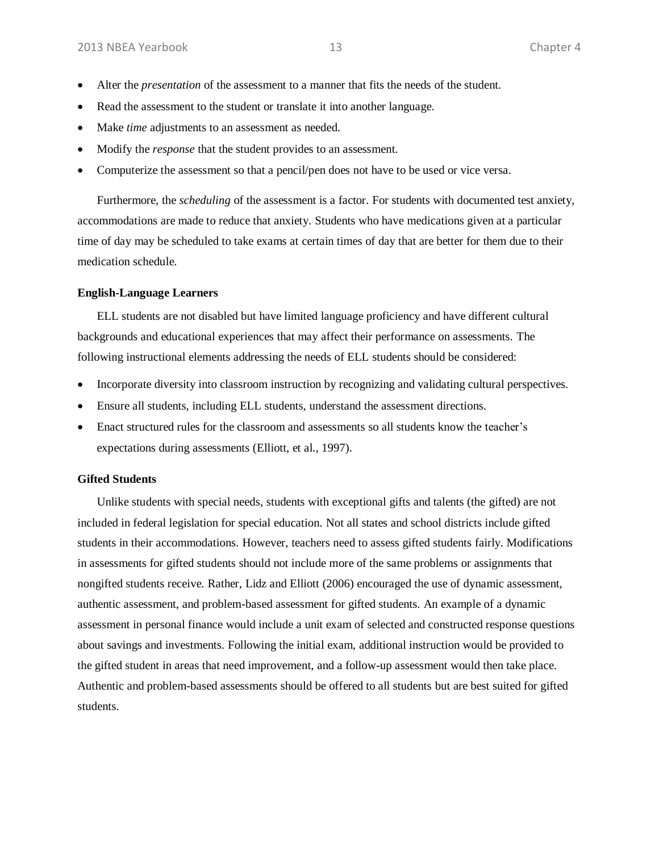- Alter the *presentation* of the assessment to a manner that fits the needs of the student.
- Read the assessment to the student or translate it into another language.
- Make *time* adjustments to an assessment as needed.
- Modify the *response* that the student provides to an assessment.
- Computerize the assessment so that a pencil/pen does not have to be used or vice versa.

Furthermore, the *scheduling* of the assessment is a factor. For students with documented test anxiety, accommodations are made to reduce that anxiety. Students who have medications given at a particular time of day may be scheduled to take exams at certain times of day that are better for them due to their medication schedule.

## **English-Language Learners**

ELL students are not disabled but have limited language proficiency and have different cultural backgrounds and educational experiences that may affect their performance on assessments. The following instructional elements addressing the needs of ELL students should be considered:

- Incorporate diversity into classroom instruction by recognizing and validating cultural perspectives.
- Ensure all students, including ELL students, understand the assessment directions.
- Enact structured rules for the classroom and assessments so all students know the teacher's expectations during assessments (Elliott, et al., 1997).

## **Gifted Students**

Unlike students with special needs, students with exceptional gifts and talents (the gifted) are not included in federal legislation for special education. Not all states and school districts include gifted students in their accommodations. However, teachers need to assess gifted students fairly. Modifications in assessments for gifted students should not include more of the same problems or assignments that nongifted students receive. Rather, Lidz and Elliott (2006) encouraged the use of dynamic assessment, authentic assessment, and problem-based assessment for gifted students. An example of a dynamic assessment in personal finance would include a unit exam of selected and constructed response questions about savings and investments. Following the initial exam, additional instruction would be provided to the gifted student in areas that need improvement, and a follow-up assessment would then take place. Authentic and problem-based assessments should be offered to all students but are best suited for gifted students.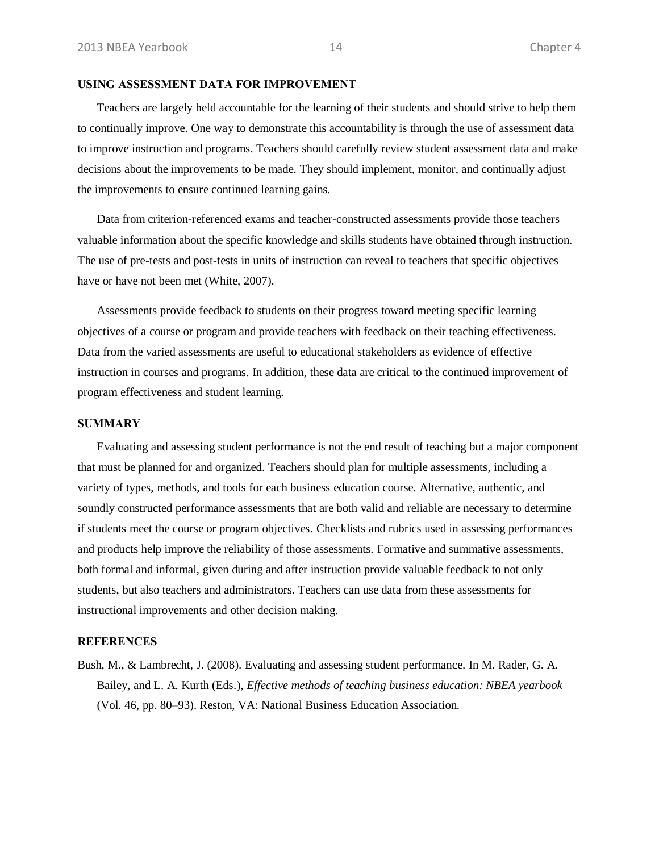# **USING ASSESSMENT DATA FOR IMPROVEMENT**

Teachers are largely held accountable for the learning of their students and should strive to help them to continually improve. One way to demonstrate this accountability is through the use of assessment data to improve instruction and programs. Teachers should carefully review student assessment data and make decisions about the improvements to be made. They should implement, monitor, and continually adjust the improvements to ensure continued learning gains.

Data from criterion-referenced exams and teacher-constructed assessments provide those teachers valuable information about the specific knowledge and skills students have obtained through instruction. The use of pre-tests and post-tests in units of instruction can reveal to teachers that specific objectives have or have not been met (White, 2007).

Assessments provide feedback to students on their progress toward meeting specific learning objectives of a course or program and provide teachers with feedback on their teaching effectiveness. Data from the varied assessments are useful to educational stakeholders as evidence of effective instruction in courses and programs. In addition, these data are critical to the continued improvement of program effectiveness and student learning.

## **SUMMARY**

Evaluating and assessing student performance is not the end result of teaching but a major component that must be planned for and organized. Teachers should plan for multiple assessments, including a variety of types, methods, and tools for each business education course. Alternative, authentic, and soundly constructed performance assessments that are both valid and reliable are necessary to determine if students meet the course or program objectives. Checklists and rubrics used in assessing performances and products help improve the reliability of those assessments. Formative and summative assessments, both formal and informal, given during and after instruction provide valuable feedback to not only students, but also teachers and administrators. Teachers can use data from these assessments for instructional improvements and other decision making.

# **REFERENCES**

Bush, M., & Lambrecht, J. (2008). Evaluating and assessing student performance. In M. Rader, G. A. Bailey, and L. A. Kurth (Eds.), *Effective methods of teaching business education: NBEA yearbook* (Vol. 46, pp. 80–93). Reston, VA: National Business Education Association.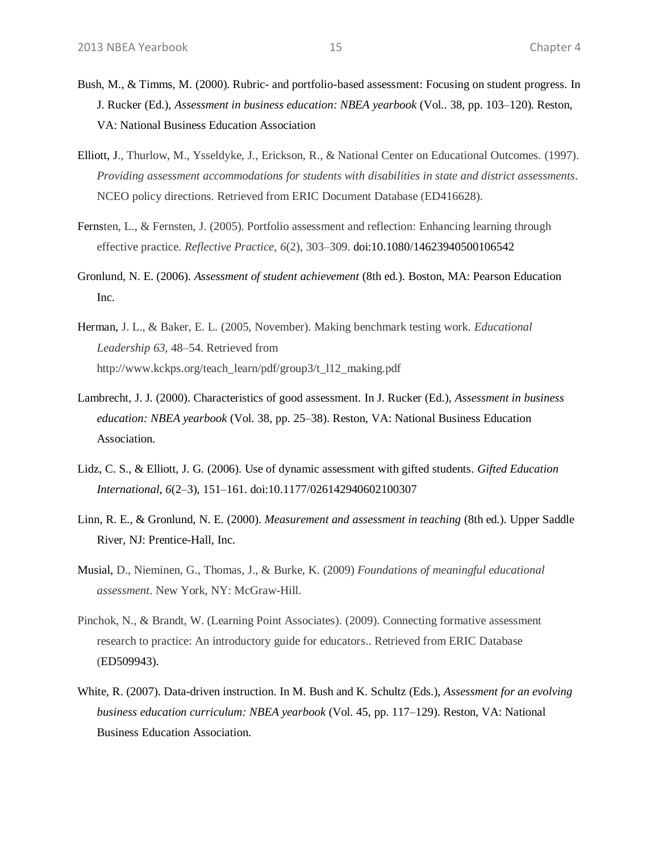- Bush, M., & Timms, M. (2000). Rubric- and portfolio-based assessment: Focusing on student progress. In J. Rucker (Ed.), *Assessment in business education: NBEA yearbook* (Vol.. 38, pp. 103–120). Reston, VA: National Business Education Association
- Elliott, J., Thurlow, M., Ysseldyke, J., Erickson, R., & National Center on Educational Outcomes. (1997). *Providing assessment accommodations for students with disabilities in state and district assessments*. NCEO policy directions. Retrieved from ERIC Document Database (ED416628).
- Fernsten, L., & Fernsten, J. (2005). Portfolio assessment and reflection: Enhancing learning through effective practice. *Reflective Practice*, *6*(2), 303–309. doi:10.1080/14623940500106542
- Gronlund, N. E. (2006). *Assessment of student achievement* (8th ed.). Boston, MA: Pearson Education Inc.
- Herman, J. L., & Baker, E. L. (2005, November). Making benchmark testing work. *Educational Leadership 63,* 48–54. Retrieved from http://www.kckps.org/teach\_learn/pdf/group3/t\_l12\_making.pdf
- Lambrecht, J. J. (2000). Characteristics of good assessment. In J. Rucker (Ed.), *Assessment in business education: NBEA yearbook* (Vol. 38, pp. 25–38). Reston, VA: National Business Education Association.
- Lidz, C. S., & Elliott, J. G. (2006). Use of dynamic assessment with gifted students. *Gifted Education International*, *6*(2–3), 151–161. doi:10.1177/026142940602100307
- Linn, R. E., & Gronlund, N. E. (2000). *Measurement and assessment in teaching* (8th ed.). Upper Saddle River, NJ: Prentice-Hall, Inc.
- Musial, D., Nieminen, G., Thomas, J., & Burke, K. (2009) *Foundations of meaningful educational assessment*. New York, NY: McGraw-Hill.
- Pinchok, N., & Brandt, W. (Learning Point Associates). (2009). Connecting formative assessment research to practice: An introductory guide for educators.. Retrieved from ERIC Database (ED509943).
- White, R. (2007). Data-driven instruction. In M. Bush and K. Schultz (Eds.), *Assessment for an evolving business education curriculum: NBEA yearbook* (Vol. 45, pp. 117–129). Reston, VA: National Business Education Association.